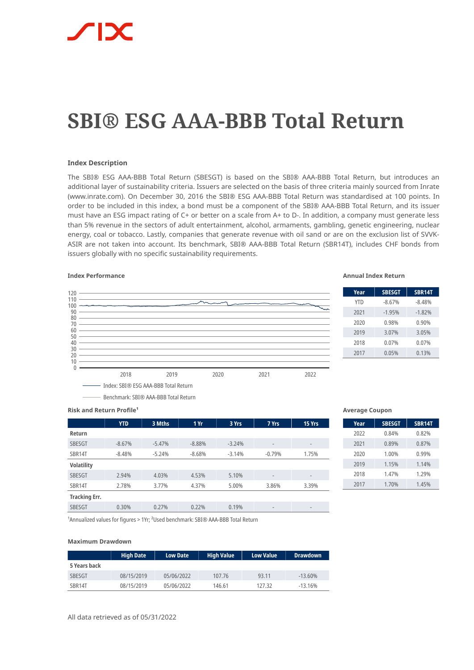# **SBI® ESG AAA-BBB Total Return**

## **Index Description**

The SBI® ESG AAA-BBB Total Return (SBESGT) is based on the SBI® AAA-BBB Total Return, but introduces an additional layer of sustainability criteria. Issuers are selected on the basis of three criteria mainly sourced from Inrate (www.inrate.com). On December 30, 2016 the SBI® ESG AAA-BBB Total Return was standardised at 100 points. In order to be included in this index, a bond must be a component of the SBI® AAA-BBB Total Return, and its issuer must have an ESG impact rating of C+ or better on a scale from A+ to D-. In addition, a company must generate less than 5% revenue in the sectors of adult entertainment, alcohol, armaments, gambling, genetic engineering, nuclear energy, coal or tobacco. Lastly, companies that generate revenue with oil sand or are on the exclusion list of SVVK-ASIR are not taken into account. Its benchmark, SBI® AAA-BBB Total Return (SBR14T), includes CHF bonds from issuers globally with no specific sustainability requirements.

# **Index Performance Annual Index Return**



| Year       | <b>SBESGT</b> | <b>SBR14T</b> |
|------------|---------------|---------------|
| <b>YTD</b> | $-8.67%$      | $-8.48%$      |
| 2021       | $-1.95%$      | $-1.82%$      |
| 2020       | 0.98%         | 0.90%         |
| 2019       | 3.07%         | 3.05%         |
| 2018       | 0.07%         | 0.07%         |
| 2017       | 0.05%         | 0.13%         |
|            |               |               |

**Risk and Return Profile<sup>1</sup>** 

|                      | <b>YTD</b> | 3 Mths   | 1Yr      | 3 Yrs    | 7 Yrs                    | 15 Yrs                       |
|----------------------|------------|----------|----------|----------|--------------------------|------------------------------|
| Return               |            |          |          |          |                          |                              |
| <b>SBESGT</b>        | $-8.67%$   | $-5.47%$ | $-8.88%$ | $-3.24%$ | $\overline{\phantom{a}}$ | $\overline{\phantom{a}}$     |
| SBR14T               | $-8.48%$   | $-5.24%$ | $-8.68%$ | $-3.14%$ | $-0.79%$                 | 1.75%                        |
| <b>Volatility</b>    |            |          |          |          |                          |                              |
| <b>SBESGT</b>        | 2.94%      | 4.03%    | 4.53%    | 5.10%    | $\overline{\phantom{m}}$ | $\qquad \qquad$              |
| SBR14T               | 2.78%      | 3.77%    | 4.37%    | 5.00%    | 3.86%                    | 3.39%                        |
| <b>Tracking Err.</b> |            |          |          |          |                          |                              |
| <b>SBESGT</b>        | 0.30%      | 0.27%    | 0.22%    | 0.19%    | $\overline{\phantom{m}}$ | $\qquad \qquad \blacksquare$ |

### **Average Coupon**

| Year | <b>SBESGT</b> | <b>SBR14T</b> |
|------|---------------|---------------|
| 2022 | 0.84%         | 0.82%         |
| 2021 | 0.89%         | 0.87%         |
| 2020 | 1.00%         | 0.99%         |
| 2019 | 1.15%         | 1.14%         |
| 2018 | 1.47%         | 1.29%         |
| 2017 | 1.70%         | 1.45%         |

<sup>1</sup> Annualized values for figures > 1Yr; <sup>2</sup> Used benchmark: SBI® AAA-BBB Total Return

### **Maximum Drawdown**

|               | <b>High Date</b> | <b>Low Date</b> | <b>High Value</b> | <b>Low Value</b> | <b>Drawdown</b> |
|---------------|------------------|-----------------|-------------------|------------------|-----------------|
| 5 Years back  |                  |                 |                   |                  |                 |
| <b>SBESGT</b> | 08/15/2019       | 05/06/2022      | 107.76            | 93.11            | $-13.60%$       |
| SBR14T        | 08/15/2019       | 05/06/2022      | 146.61            | 12732            | $-13.16%$       |

All data retrieved as of 05/31/2022